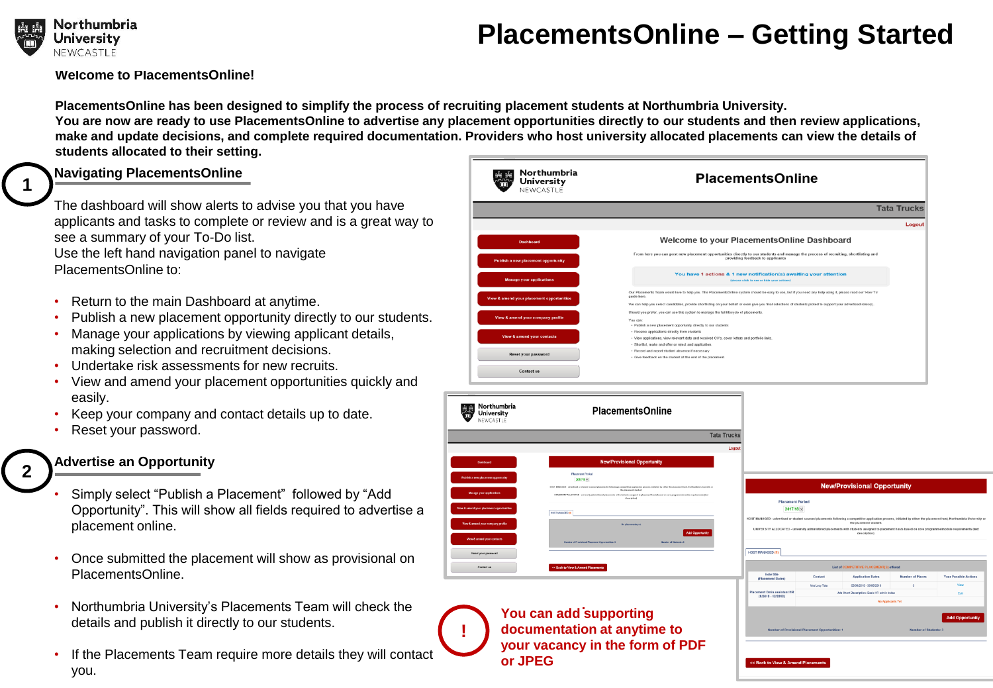

**1**

**2**

## **PlacementsOnline – Getting Started**

**Welcome to PlacementsOnline!** 

**PlacementsOnline has been designed to simplify the process of recruiting placement students at Northumbria University. You are now are ready to use PlacementsOnline to advertise any placement opportunities directly to our students and then review applications, make and update decisions, and complete required documentation. Providers who host university allocated placements can view the details of students allocated to their setting.**

**!**

#### **Navigating PlacementsOnline**

The dashboard will show alerts to advise you that you have applicants and tasks to complete or review and is a great way to see a summary of your To-Do list.

Use the left hand navigation panel to navigate PlacementsOnline to:

- Return to the main Dashboard at anytime.
- Publish a new placement opportunity directly to our students.
- Manage your applications by viewing applicant details, making selection and recruitment decisions.
- Undertake risk assessments for new recruits.
- View and amend your placement opportunities quickly and easily.
- Keep your company and contact details up to date.
- Reset your password.

## **Advertise an Opportunity**

- Simply select "Publish a Placement" followed by "Add Opportunity". This will show all fields required to advertise a placement online.
- Once submitted the placement will show as provisional on PlacementsOnline.
- Northumbria University's Placements Team will check the details and publish it directly to our students.
- If the Placements Team require more details they will contact you.





**. You can add supporting documentation at anytime to your vacancy in the form of PDF or JPEG** 

| <b>New/Provisional Opportunity</b>                                                                                                                                                                                             |                                                                                                                                                        |                                         |                                                        |                                                                                                                                                                      |  |
|--------------------------------------------------------------------------------------------------------------------------------------------------------------------------------------------------------------------------------|--------------------------------------------------------------------------------------------------------------------------------------------------------|-----------------------------------------|--------------------------------------------------------|----------------------------------------------------------------------------------------------------------------------------------------------------------------------|--|
| <b>Placement Period</b><br>2017/18                                                                                                                                                                                             | UNIVER SITY ALLOCATED - university administered placements with students assigned to placement hosts based on core programme/module requirements (text | the placement student.<br>description). |                                                        | ST MANAGED - advertised or student sourced placements following a competitive application process, initiated by either the placement host, Northumbria University on |  |
| <b>ST MANAGED (1)</b>                                                                                                                                                                                                          |                                                                                                                                                        |                                         |                                                        |                                                                                                                                                                      |  |
| List of COMPETITIVE PLACEMENT(S) offered                                                                                                                                                                                       |                                                                                                                                                        |                                         |                                                        |                                                                                                                                                                      |  |
| Role title<br>(Placement Dates)                                                                                                                                                                                                | Contact                                                                                                                                                | <b>Application Dates</b>                | Number of Places                                       | <b>Your Possible Actions</b>                                                                                                                                         |  |
| <b>Jacement Dmin assistant HR</b><br>$(8/2018 - 12/2018)$                                                                                                                                                                      | Mrs Lucy Tata                                                                                                                                          | 06/08/2018 - 30/08/2018                 | 3                                                      | View                                                                                                                                                                 |  |
|                                                                                                                                                                                                                                | Job Short Description: Basic HR admin duties                                                                                                           |                                         |                                                        | Edit                                                                                                                                                                 |  |
|                                                                                                                                                                                                                                | <b>No Applicants Yet</b>                                                                                                                               |                                         |                                                        |                                                                                                                                                                      |  |
| <b>Number of Provisional Placement Opportunities: 1</b>                                                                                                                                                                        |                                                                                                                                                        |                                         | <b>Add Opportunity</b><br><b>Number of Students: 3</b> |                                                                                                                                                                      |  |
| We have a series of the company of the company of the company of the company of the company of the company of the company of the company of the company of the company of the company of the company of the company of the com |                                                                                                                                                        |                                         |                                                        |                                                                                                                                                                      |  |